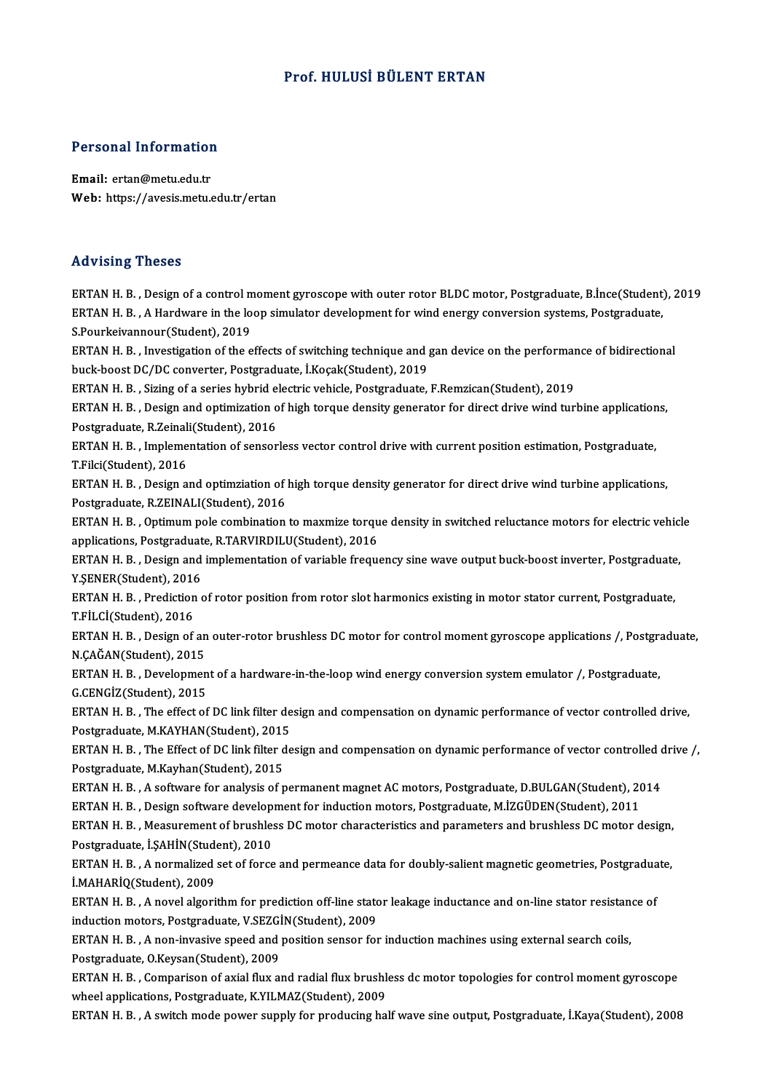### Prof.HULUSİ BÜLENT ERTAN

# Personal Information

Personal Information<br>Email: ertan@metu.edu.tr<br>Web: https://avesis.mstv. Email: ertan@metu.edu.tr<br>Web: https://avesis.metu.edu.tr/ertan

### Advising Theses

ERTAN H.B., Design of a control moment gyroscope with outer rotor BLDC motor, Postgraduate, B.İnce(Student), 2019 FRAN H. B. , Design of a control moment gyroscope with outer rotor BLDC motor, Postgraduate, B.İnce(Student)<br>ERTAN H. B. , A Hardware in the loop simulator development for wind energy conversion systems, Postgraduate,<br>S Po ERTAN H. B. , Design of a control m<br>ERTAN H. B. , A Hardware in the lo<br>S.Pourkeivannour(Student), 2019<br>EPTAN H. P. , Investigation of the c ERTAN H. B. , A Hardware in the loop simulator development for wind energy conversion systems, Postgraduate,<br>S.Pourkeivannour(Student), 2019<br>ERTAN H. B. , Investigation of the effects of switching technique and gan device S.Pourkeivannour(Student), 2019<br>ERTAN H. B. , Investigation of the effects of switching technique and <sub>{</sub><br>buck-boost DC/DC converter, Postgraduate, İ.Koçak(Student), 2019<br>ERTAN H. B., Siring of a serise bubrid electris veb ERTAN H. B. , Investigation of the effects of switching technique and gan device on the performar<br>buck-boost DC/DC converter, Postgraduate, İ.Koçak(Student), 2019<br>ERTAN H. B. , Sizing of a series hybrid electric vehicle, P buck-boost DC/DC converter, Postgraduate, İ.Koçak(Student), 2019<br>ERTAN H. B. , Sizing of a series hybrid electric vehicle, Postgraduate, F.Remzican(Student), 2019<br>ERTAN H. B. , Design and optimization of high torque densit ERTAN H. B., Sizing of a series hybrid electric vehicle, Postgraduate, F.Remzican(Student), 2019 ERTAN H. B. , Design and optimization of high torque density generator for direct drive wind turbine application<br>Postgraduate, R.Zeinali(Student), 2016<br>ERTAN H. B. , Implementation of sensorless vector control drive with c Postgraduate, R.Zeinal<br>ERTAN H. B. , Impleme<br>T.Filci(Student), 2016<br>ERTAN H. B. , Design a ERTAN H. B. , Implementation of sensorless vector control drive with current position estimation, Postgraduate,<br>T.Filci(Student), 2016<br>ERTAN H. B. , Design and optimziation of high torque density generator for direct drive T.Filci(Student), 2016<br>ERTAN H. B. , Design and optimziation of high torque density generator for direct drive wind turbine applications,<br>Postgraduate, R.ZEINALI(Student), 2016 ERTAN H. B. , Design and optimziation of high torque density generator for direct drive wind turbine applications,<br>Postgraduate, R.ZEINALI(Student), 2016<br>ERTAN H. B. , Optimum pole combination to maxmize torque density in Postgraduate, R.ZEINALI(Student), 2016<br>ERTAN H. B. , Optimum pole combination to maxmize torqu<br>applications, Postgraduate, R.TARVIRDILU(Student), 2016<br>ERTAN H. B. , Dosign and implementation of variable freque ERTAN H. B. , Optimum pole combination to maxmize torque density in switched reluctance motors for electric vehic<br>applications, Postgraduate, R.TARVIRDILU(Student), 2016<br>ERTAN H. B. , Design and implementation of variable applications, Postgraduate, R.TARVIRDILU(Student), 2016<br>ERTAN H. B. , Design and implementation of variable frequency sine wave output buck-boost inverter, Postgraduate<br>Y.ŞENER(Student), 2016<br>ERTAN H. B. , Prediction of ro ERTAN H.B., Design and implementation of variable frequency sine wave output buck-boost inverter, Postgraduate, T.FİLCİ(Student),2016 ERTAN H. B. , Prediction of rotor position from rotor slot harmonics existing in motor stator current, Postgraduate,<br>T.FİLCİ(Student), 2016<br>ERTAN H. B. , Design of an outer-rotor brushless DC motor for control moment gyros T.FİLCİ(Student), 2016<br>ERTAN H. B. , Design of an<br>N.ÇAĞAN(Student), 2015<br>EPTAN H. B. , Develenmen ERTAN H. B. , Design of an outer-rotor brushless DC motor for control moment gyroscope applications /, Postgra<br>N.ÇAĞAN(Student), 2015<br>ERTAN H. B. , Development of a hardware-in-the-loop wind energy conversion system emulat N.ÇAĞAN(Student), 2015<br>ERTAN H. B. , Developmen<br>G.CENGİZ(Student), 2015<br>ERTAN H. B. . The effect of ERTAN H. B. , Development of a hardware-in-the-loop wind energy conversion system emulator /, Postgraduate,<br>G.CENGİZ(Student), 2015<br>ERTAN H. B. , The effect of DC link filter design and compensation on dynamic performance G.CENGİZ(Student), 2015<br>ERTAN H. B. , The effect of DC link filter design and compensation on dynamic performance of vector controlled drive, ERTAN H. B. , The effect of DC link filter design and compensation on dynamic performance of vector controlled drive,<br>Postgraduate, M.KAYHAN(Student), 2015<br>ERTAN H. B. , The Effect of DC link filter design and compensation Postgraduate, M.KAYHAN(Student), 2015<br>ERTAN H. B., The Effect of DC link filter de<br>Postgraduate, M.Kayhan(Student), 2015 ERTAN H. B. , The Effect of DC link filter design and compensation on dynamic performance of vector controlled o<br>Postgraduate, M.Kayhan(Student), 2015<br>ERTAN H. B. , A software for analysis of permanent magnet AC motors, Po Postgraduate, M.Kayhan(Student), 2015<br>ERTAN H. B. , A software for analysis of permanent magnet AC motors, Postgraduate, D.BULGAN(Student), 20<br>ERTAN H. B. , Design software development for induction motors, Postgraduate, M ERTAN H. B. , A software for analysis of permanent magnet AC motors, Postgraduate, D.BULGAN(Student), 2014<br>ERTAN H. B. , Design software development for induction motors, Postgraduate, M.İZGÜDEN(Student), 2011<br>ERTAN H. B. ERTAN H. B. , Design software development for induction motors, Postgraduate, M.İZGÜDEN(Student), 2011<br>ERTAN H. B. , Measurement of brushless DC motor characteristics and parameters and brushless DC motor design, ERTAN H. B. , Measurement of brushless DC motor characteristics and parameters and brushless DC motor design,<br>Postgraduate, İ.ŞAHİN(Student), 2010<br>ERTAN H. B. , A normalized set of force and permeance data for doubly-salie Postgraduate, İ.ŞAHİN(Student), 2010<br>ERTAN H. B. , A normalized set of force<br>İ.MAHARİQ(Student), 2009 ERTAN H. B. , A normalized set of force and permeance data for doubly-salient magnetic geometries, Postgradua<br>İ.MAHARİQ(Student), 2009<br>ERTAN H. B. , A novel algorithm for prediction off-line stator leakage inductance and o ERTAN H. B., A novel algorithm for prediction off-line stator leakage inductance and on-line stator resistance of induction motors, Postgraduate, V.SEZGİN(Student), 2009 ERTAN H. B. , A novel algorithm for prediction off-line stator leakage inductance and on-line stator resistand<br>induction motors, Postgraduate, V.SEZGİN(Student), 2009<br>ERTAN H. B. , A non-invasive speed and position sensor induction motors, Postgraduate, V.SEZG<br>ERTAN H. B. , A non-invasive speed and<br>Postgraduate, O.Keysan(Student), 2009<br>ERTAN H. B. Comparison of avial flux at ERTAN H. B. , A non-invasive speed and position sensor for induction machines using external search coils,<br>Postgraduate, O.Keysan(Student), 2009<br>ERTAN H. B. , Comparison of axial flux and radial flux brushless dc motor top Postgraduate, O.Keysan(Student), 2009<br>ERTAN H. B. , Comparison of axial flux and radial flux brushle<br>wheel applications, Postgraduate, K.YILMAZ(Student), 2009<br>ERTAN H. B. , A suitsh mode newer sunnly for producing he wheel applications, Postgraduate, K.YILMAZ(Student), 2009<br>ERTAN H. B. , A switch mode power supply for producing half wave sine output, Postgraduate, İ.Kaya(Student), 2008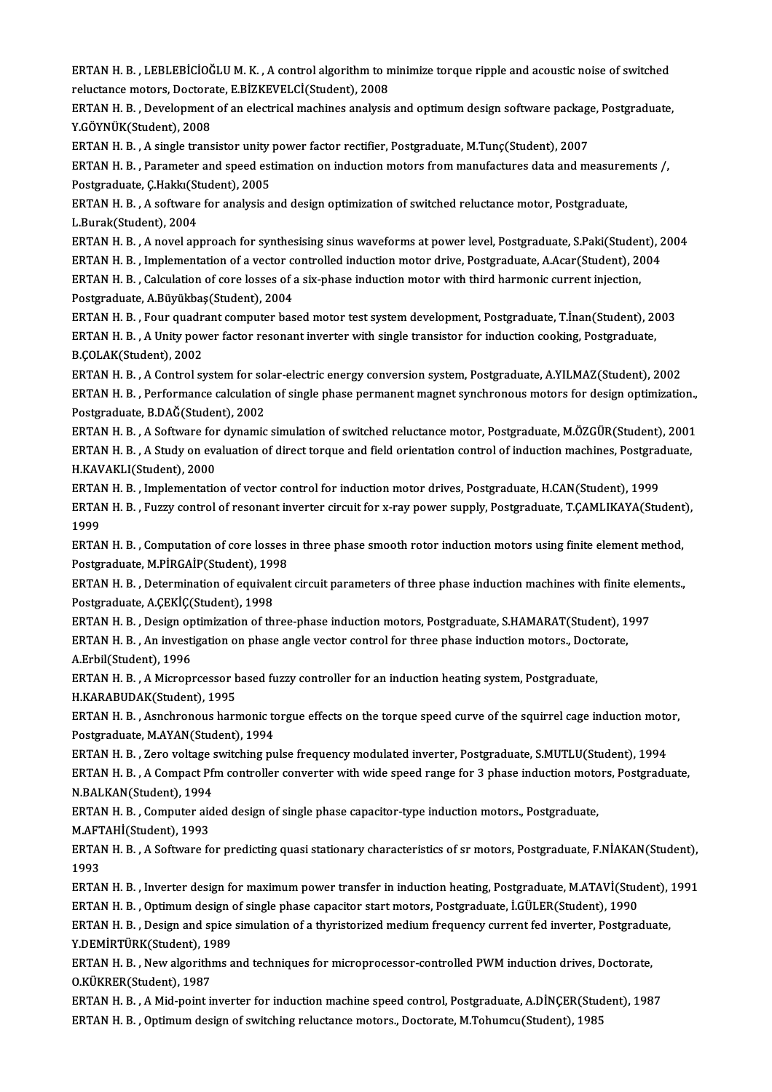ERTAN H. B. , LEBLEBİCİOĞLU M. K. , A control algorithm to minimize torque ripple and acoustic noise of switched<br>Felixtance metare Dectarata E PİZKEVELCİ(Student), 2009 ERTAN H. B. , LEBLEBİCİOĞLU M. K. , A control algorithm to n<br>reluctance motors, Doctorate, E.BİZKEVELCİ(Student), 2008<br>ERTAN H. B. , Davelanment of an electrical mashines analysis ERTAN H. B. , LEBLEBİCİOĞLU M. K. , A control algorithm to minimize torque ripple and acoustic noise of switched<br>reluctance motors, Doctorate, E.BİZKEVELCİ(Student), 2008<br>ERTAN H. B. , Development of an electrical machines

reluctance motors, Doctora<br>ERTAN H. B. , Development<br>Y.GÖYNÜK(Student), 2008<br>ERTAN H. B. , Asingle trans ERTAN H. B. , Development of an electrical machines analysis and optimum design software package<br>Y.GÖYNÜK(Student), 2008<br>ERTAN H. B. , A single transistor unity power factor rectifier, Postgraduate, M.Tunç(Student), 2007<br>E

Y.GÖYNÜK(Student), 2008<br>ERTAN H. B. , A single transistor unity power factor rectifier, Postgraduate, M.Tunç(Student), 2007<br>ERTAN H. B. , Parameter and speed estimation on induction motors from manufactures data and measur ERTAN H. B. , A single transistor unity power factor rectifier, Postgraduate, M.Tunç(Student), 2007<br>ERTAN H. B. , Parameter and speed estimation on induction motors from manufactures data and measurer<br>Postgraduate, Ç.Hakkı ERTAN H. B. , Parameter and speed estimation on induction motors from manufactures data and measurer<br>Postgraduate, Ç.Hakkı(Student), 2005<br>ERTAN H. B. , A software for analysis and design optimization of switched reluctance

Postgraduate, Ç.Hakkı(Student), 2005<br>ERTAN H. B. , A software for analysis a<br>L.Burak(Student), 2004 ERTAN H. B. , A software for analysis and design optimization of switched reluctance motor, Postgraduate,<br>L.Burak(Student), 2004<br>ERTAN H. B. , A novel approach for synthesising sinus waveforms at power level, Postgraduate,

L.Burak(Student), 2004<br>ERTAN H. B. , A novel approach for synthesising sinus waveforms at power level, Postgraduate, S.Paki(Student), 2<br>ERTAN H. B. , Implementation of a vector controlled induction motor urith third bermon ERTAN H. B. , A novel approach for synthesising sinus waveforms at power level, Postgraduate, S.Paki(Student),<br>ERTAN H. B. , Implementation of a vector controlled induction motor drive, Postgraduate, A.Acar(Student), 20<br>ER ERTAN H. B. , Implementation of a vector controlled induction motor drive, Postgraduate, A.Acar(Student), 2004<br>ERTAN H. B. , Calculation of core losses of a six-phase induction motor with third harmonic current injection,<br> ERTAN H. B. , Calculation of core losses of a six-phase induction motor with third harmonic current injection,<br>Postgraduate, A.Büyükbaş(Student), 2004<br>ERTAN H. B. , Four quadrant computer based motor test system developmen

Postgraduate, A.Büyükbaş(Student), 2004<br>ERTAN H. B. , Four quadrant computer based motor test system development, Postgraduate, T.İnan(Student), 20<br>ERTAN H. B. , A Unity power factor resonant inverter with single transisto ERTAN H. B. , Four quadr<br>ERTAN H. B. , A Unity pow<br>B.ÇOLAK(Student), 2002<br>ERTAN H. B. A Control St ERTAN H. B. , A Unity power factor resonant inverter with single transistor for induction cooking, Postgraduate,<br>B.ÇOLAK(Student), 2002<br>ERTAN H. B. , A Control system for solar-electric energy conversion system, Postgradua

B.ÇOLAK(Student), 2002<br>ERTAN H. B. , A Control system for solar-electric energy conversion system, Postgraduate, A.YILMAZ(Student), 2002<br>ERTAN H. B. , Performance calculation of single phase permanent magnet synchronous mo ERTAN H. B. , A Control system for so<br>ERTAN H. B. , Performance calculation<br>Postgraduate, B.DAĞ(Student), 2002<br>ERTAN H. B. , A Seftynne for dynamic ERTAN H. B. , Performance calculation of single phase permanent magnet synchronous motors for design optimization.,<br>Postgraduate, B.DAĞ(Student), 2002<br>ERTAN H. B. , A Software for dynamic simulation of switched reluctance

Postgraduate, B.DAĞ(Student), 2002<br>ERTAN H. B. , A Software for dynamic simulation of switched reluctance motor, Postgraduate, M.ÖZGÜR(Student), 2001<br>ERTAN H. B. , A Study on evaluation of direct torque and field orientati ERTAN H. B. , A Software for<br>ERTAN H. B. , A Study on eva<br>H.KAVAKLI(Student), 2000<br>EPTAN H. P. , Implomentatio ERTAN H. B. , A Study on evaluation of direct torque and field orientation control of induction machines, Postgrad<br>H.KAVAKLI(Student), 2000<br>ERTAN H. B. , Implementation of vector control for induction motor drives, Postgra

H.KAVAKLI(Student), 2000<br>ERTAN H. B. , Implementation of vector control for induction motor drives, Postgraduate, H.CAN(Student), 1999<br>ERTAN H. B. , Fuzzy control of resonant inverter circuit for x-ray power supply, Postgr ERTAI<br>ERTAI<br>1999<br>EPTAI ERTAN H. B. , Fuzzy control of resonant inverter circuit for x-ray power supply, Postgraduate, T.ÇAMLIKAYA(Student),<br>1999<br>ERTAN H. B. , Computation of core losses in three phase smooth rotor induction motors using finite e

ERTAN H. B., Computation of core losses in three phase smooth rotor induction motors using finite element method, ERTAN H. B. , Computation of core losses in three phase smooth rotor induction motors using finite element method,<br>Postgraduate, M.PİRGAİP(Student), 1998<br>ERTAN H. B. , Determination of equivalent circuit parameters of thre

Postgraduate, A.ÇEKİÇ(Student), 1998 ERTAN H. B. , Determination of equivalent circuit parameters of three phase induction machines with finite elen<br>Postgraduate, A.ÇEKİÇ(Student), 1998<br>ERTAN H. B. , Design optimization of three-phase induction motors, Postgr

ERTAN H. B. , Design optimization of three-phase induction motors, Postgraduate, S.HAMARAT(Student), 1997<br>ERTAN H. B. , An investigation on phase angle vector control for three phase induction motors., Doctorate,

A.Erbil(Student),1996

ERTAN H. B. , An investigation on phase angle vector control for three phase induction motors., Docto<br>A.Erbil(Student), 1996<br>ERTAN H. B. , A Microprcessor based fuzzy controller for an induction heating system, Postgraduat A.Erbil(Student), 1996<br>ERTAN H. B. , A Microprcessor b<br>H.KARABUDAK(Student), 1995<br>ERTAN H. B. , Aspehnoneus haus

ERTAN H. B. , A Microprcessor based fuzzy controller for an induction heating system, Postgraduate,<br>H.KARABUDAK(Student), 1995<br>ERTAN H. B. , Asnchronous harmonic torgue effects on the torque speed curve of the squirrel cag H.KARABUDAK(Student), 1995<br>ERTAN H. B. , Asnchronous harmonic to<br>Postgraduate, M.AYAN(Student), 1994<br>ERTAN H. B., Zone valtage quitabing pu ERTAN H. B. , Asnchronous harmonic torgue effects on the torque speed curve of the squirrel cage induction moto<br>Postgraduate, M.AYAN(Student), 1994<br>ERTAN H. B. , Zero voltage switching pulse frequency modulated inverter, P

Postgraduate, M.AYAN(Student), 1994<br>ERTAN H. B. , Zero voltage switching pulse frequency modulated inverter, Postgraduate, S.MUTLU(Student), 1994<br>ERTAN H. B. , A Compact Pfm controller converter with wide speed range for 3 ERTAN H. B. , Zero voltage :<br>ERTAN H. B. , A Compact Pf<br>N.BALKAN(Student), 1994<br>EPTAN H. B. Computer aid ERTAN H. B. , A Compact Pfm controller converter with wide speed range for 3 phase induction moto<br>N.BALKAN(Student), 1994<br>ERTAN H. B. , Computer aided design of single phase capacitor-type induction motors., Postgraduate,<br>

N.BALKAN(Student), 1994<br>ERTAN H. B. , Computer aided design of single phase capacitor-type induction motors., Postgraduate,<br>M.AFTAHİ(Student), 1993

ERTAN H. B. , Computer aided design of single phase capacitor-type induction motors., Postgraduate,<br>M.AFTAHİ(Student), 1993<br>ERTAN H. B. , A Software for predicting quasi stationary characteristics of sr motors, Postgraduat M.AFT<br>ERTAI<br>1993<br>EPTAI ERTAN H. B. , A Software for predicting quasi stationary characteristics of sr motors, Postgraduate, F.NİAKAN(Student),<br>1993<br>ERTAN H. B. , Inverter design for maximum power transfer in induction heating, Postgraduate, M.AT

1993<br>ERTAN H. B. , Inverter design for maximum power transfer in induction heating, Postgraduate, M.ATAVİ(Stud<br>ERTAN H. B. , Optimum design of single phase capacitor start motors, Postgraduate, İ.GÜLER(Student), 1990<br>ERTAN

ERTAN H. B. , Inverter design for maximum power transfer in induction heating, Postgraduate, M.ATAVİ(Student), 1991<br>ERTAN H. B. , Optimum design of single phase capacitor start motors, Postgraduate, İ.GÜLER(Student), 1990<br> ERTAN H. B. , Optimum design<br>ERTAN H. B. , Design and spice<br>Y.DEMİRTÜRK(Student), 1989<br>ERTAN H. B. New alsorithme a ERTAN H. B. , Design and spice simulation of a thyristorized medium frequency current fed inverter, Postgradua<br>Y.DEMİRTÜRK(Student), 1989<br>ERTAN H. B. , New algorithms and techniques for microprocessor-controlled PWM induct

Y.DEMİRTÜRK(Student), 19<br>ERTAN H. B. , New algorith<br>O.KÜKRER(Student), 1987<br>EPTAN H. P. , A Mid point ii ERTAN H. B. , New algorithms and techniques for microprocessor-controlled PWM induction drives, Doctorate,<br>O.KÜKRER(Student), 1987<br>ERTAN H. B. , A Mid-point inverter for induction machine speed control, Postgraduate, A.DİN

O.KÜKRER(Student), 1987<br>ERTAN H. B. , A Mid-point inverter for induction machine speed control, Postgraduate, A.DİNÇER(Stud<br>ERTAN H. B. , Optimum design of switching reluctance motors., Doctorate, M.Tohumcu(Student), 1985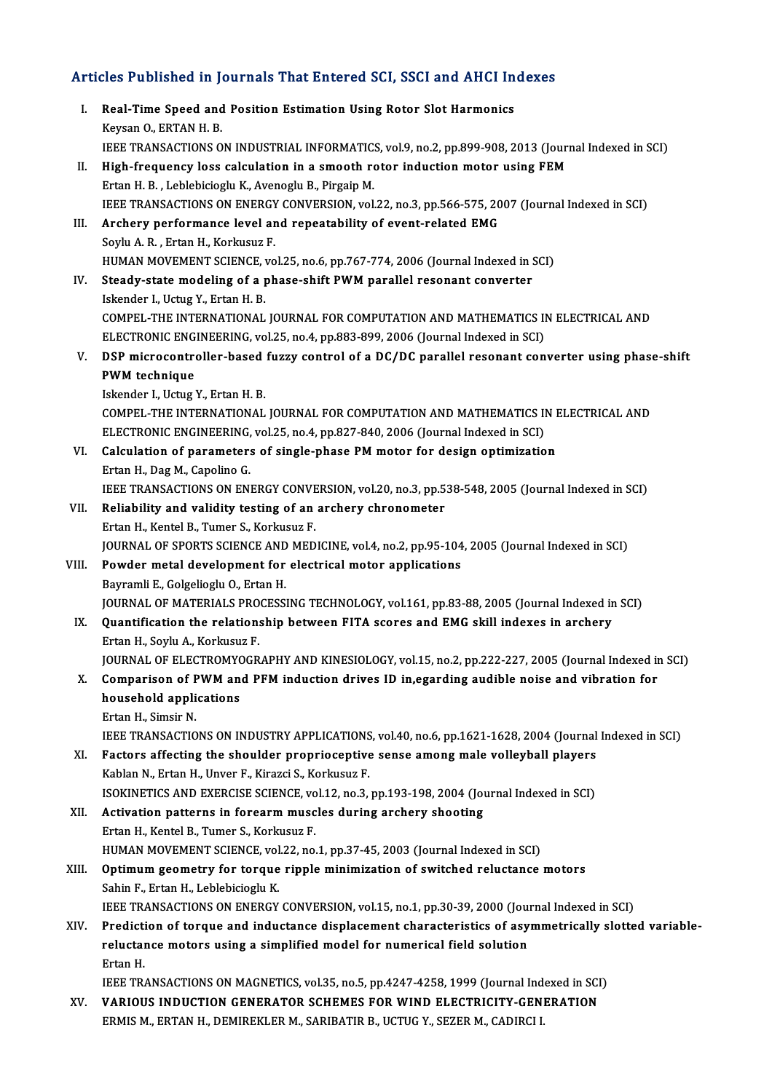# Articles Published in Journals That Entered SCI, SSCI and AHCI Indexes

|       | Articles Published in Journals That Entered SCI, SSCI and AHCI Indexes                                                                                                                                                                                                           |
|-------|----------------------------------------------------------------------------------------------------------------------------------------------------------------------------------------------------------------------------------------------------------------------------------|
| L.    | Real-Time Speed and Position Estimation Using Rotor Slot Harmonics<br>Keysan O., ERTAN H. B.                                                                                                                                                                                     |
| П.    | IEEE TRANSACTIONS ON INDUSTRIAL INFORMATICS, vol.9, no.2, pp.899-908, 2013 (Journal Indexed in SCI)<br>High-frequency loss calculation in a smooth rotor induction motor using FEM<br>Ertan H. B., Leblebicioglu K., Avenoglu B., Pirgaip M.                                     |
| Ш.    | IEEE TRANSACTIONS ON ENERGY CONVERSION, vol.22, no.3, pp.566-575, 2007 (Journal Indexed in SCI)<br>Archery performance level and repeatability of event-related EMG                                                                                                              |
|       | Soylu A. R., Ertan H., Korkusuz F.<br>HUMAN MOVEMENT SCIENCE, vol.25, no.6, pp.767-774, 2006 (Journal Indexed in SCI)                                                                                                                                                            |
| IV.   | Steady-state modeling of a phase-shift PWM parallel resonant converter<br>Iskender I., Uctug Y., Ertan H. B.                                                                                                                                                                     |
|       | COMPEL-THE INTERNATIONAL JOURNAL FOR COMPUTATION AND MATHEMATICS IN ELECTRICAL AND<br>ELECTRONIC ENGINEERING, vol.25, no.4, pp.883-899, 2006 (Journal Indexed in SCI)                                                                                                            |
| V.    | DSP microcontroller-based fuzzy control of a DC/DC parallel resonant converter using phase-shift<br>PWM technique                                                                                                                                                                |
|       | Iskender I., Uctug Y., Ertan H. B.<br>COMPEL-THE INTERNATIONAL JOURNAL FOR COMPUTATION AND MATHEMATICS IN ELECTRICAL AND<br>ELECTRONIC ENGINEERING, vol.25, no.4, pp.827-840, 2006 (Journal Indexed in SCI)                                                                      |
| VI.   | Calculation of parameters of single-phase PM motor for design optimization<br>Ertan H., Dag M., Capolino G.                                                                                                                                                                      |
| VII.  | IEEE TRANSACTIONS ON ENERGY CONVERSION, vol.20, no.3, pp.538-548, 2005 (Journal Indexed in SCI)<br>Reliability and validity testing of an archery chronometer<br>Ertan H., Kentel B., Tumer S., Korkusuz F.                                                                      |
| VIII. | JOURNAL OF SPORTS SCIENCE AND MEDICINE, vol.4, no.2, pp.95-104, 2005 (Journal Indexed in SCI)<br>Powder metal development for electrical motor applications                                                                                                                      |
|       | Bayramli E., Golgelioglu O., Ertan H.<br>JOURNAL OF MATERIALS PROCESSING TECHNOLOGY, vol.161, pp.83-88, 2005 (Journal Indexed in SCI)                                                                                                                                            |
| IX.   | Quantification the relationship between FITA scores and EMG skill indexes in archery<br>Ertan H., Soylu A., Korkusuz F.                                                                                                                                                          |
| X.    | JOURNAL OF ELECTROMYOGRAPHY AND KINESIOLOGY, vol.15, no.2, pp.222-227, 2005 (Journal Indexed in SCI)<br>Comparison of PWM and PFM induction drives ID in, egarding audible noise and vibration for<br>household applications                                                     |
|       | Ertan H., Simsir N.<br>IEEE TRANSACTIONS ON INDUSTRY APPLICATIONS, vol.40, no.6, pp.1621-1628, 2004 (Journal Indexed in SCI)                                                                                                                                                     |
| XI.   | Factors affecting the shoulder proprioceptive sense among male volleyball players<br>Kablan N., Ertan H., Unver F., Kirazci S., Korkusuz F.                                                                                                                                      |
| XII.  | ISOKINETICS AND EXERCISE SCIENCE, vol.12, no.3, pp.193-198, 2004 (Journal Indexed in SCI)<br>Activation patterns in forearm muscles during archery shooting                                                                                                                      |
|       | Ertan H., Kentel B., Tumer S., Korkusuz F.<br>HUMAN MOVEMENT SCIENCE, vol.22, no.1, pp.37-45, 2003 (Journal Indexed in SCI)                                                                                                                                                      |
| XIII. | Optimum geometry for torque ripple minimization of switched reluctance motors<br>Sahin F., Ertan H., Leblebicioglu K.                                                                                                                                                            |
| XIV.  | IEEE TRANSACTIONS ON ENERGY CONVERSION, vol.15, no.1, pp.30-39, 2000 (Journal Indexed in SCI)<br>Prediction of torque and inductance displacement characteristics of asymmetrically slotted variable-<br>reluctance motors using a simplified model for numerical field solution |
|       | Ertan H<br>IEEE TRANSACTIONS ON MAGNETICS, vol.35, no.5, pp.4247-4258, 1999 (Journal Indexed in SCI)                                                                                                                                                                             |
| XV.   | <b>VARIOUS INDUCTION GENERATOR SCHEMES FOR WIND ELECTRICITY-GENERATION</b><br>ERMIS M., ERTAN H., DEMIREKLER M., SARIBATIR B., UCTUG Y., SEZER M., CADIRCI I.                                                                                                                    |
|       |                                                                                                                                                                                                                                                                                  |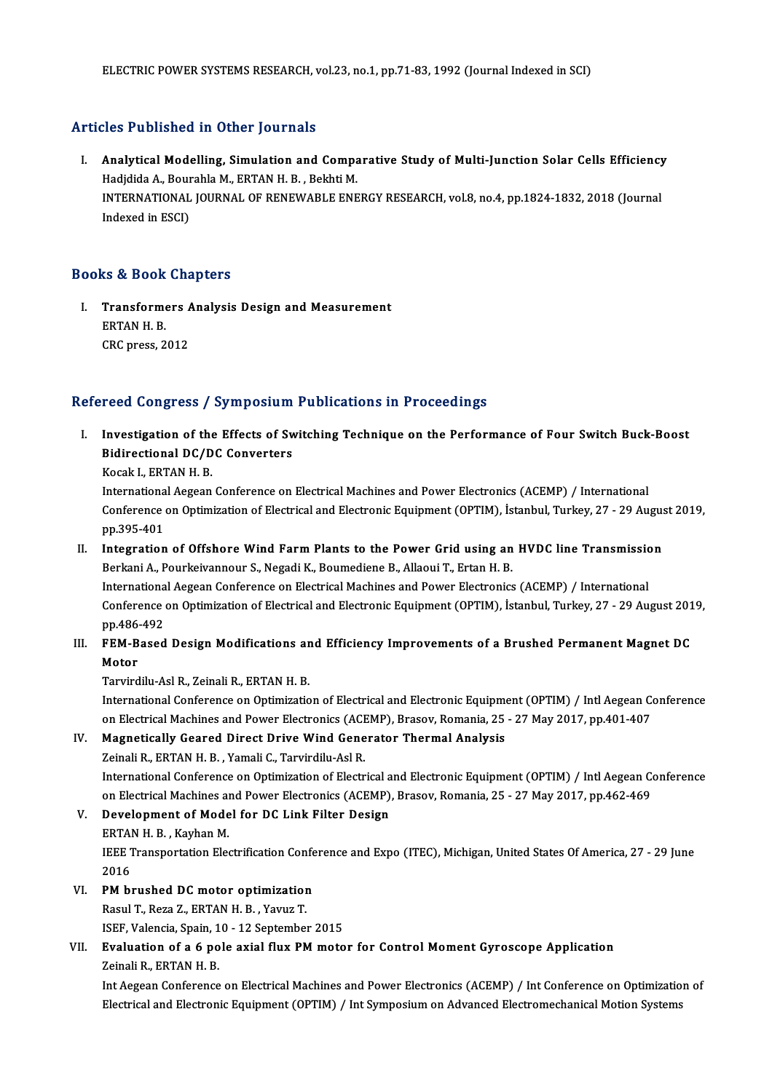### Articles Published in Other Journals

rticles Published in Other Journals<br>I. Analytical Modelling, Simulation and Comparative Study of Multi-Junction Solar Cells Efficiency<br>Rodidida A. Bourabla M. ERTAN H. B. Bokhti M. Hadjdida A., Bourahlam Schor Journals<br>Analytical Modelling, Simulation and Compa<br>Hadjdida A., Bourahla M., ERTAN H. B. , Bekhti M.<br>INTERNATIONAL JOURNAL OF RENEWARLE ENE Analytical Modelling, Simulation and Comparative Study of Multi-Junction Solar Cells Efficiency<br>Hadjdida A., Bourahla M., ERTAN H. B. , Bekhti M.<br>INTERNATIONAL JOURNAL OF RENEWABLE ENERGY RESEARCH, vol.8, no.4, pp.1824-183 Hadjdida A., Bour<br>INTERNATIONAL<br>Indexed in ESCI)

## Indexed in ESCI)<br>Books & Book Chapters

I. Transformers Analysis Design and Measurement ERTAN H. B.<br>ERTAN H. B.<br>ERTAN H. B. Transformers *F*<br>ERTAN H. B.<br>CRC press, 2012

## CRC press, 2012<br>Refereed Congress / Symposium Publications in Proceedings

efereed Congress / Symposium Publications in Proceedings<br>I. Investigation of the Effects of Switching Technique on the Performance of Four Switch Buck-Boost<br>Pidirectional DC/DC Converters Investigation of the Effects of Sweet<br>Bidirectional DC/DC Converters<br>Kosak L EPTAN H B Investigation of the<br>Bidirectional DC/D<br>Kocak I., ERTAN H. B.<br>International Aggeon

Bidirectional DC/DC Converters<br>Kocak I., ERTAN H. B.<br>International Aegean Conference on Electrical Machines and Power Electronics (ACEMP) / International<br>Conference on Ontimization of Electrical and Electronic Faujument (O Kocak I., ERTAN H. B.<br>International Aegean Conference on Electrical Machines and Power Electronics (ACEMP) / International<br>Conference on Optimization of Electrical and Electronic Equipment (OPTIM), İstanbul, Turkey, 27 - 2 Internationa<br>Conference<br>pp.395-401<br>Integration Conference on Optimization of Electrical and Electronic Equipment (OPTIM), İstanbul, Turkey, 27 - 29 Augus<br>pp.395-401<br>II. Integration of Offshore Wind Farm Plants to the Power Grid using an HVDC line Transmission<br>Perkani A

### pp.395-401<br>Integration of Offshore Wind Farm Plants to the Power Grid using an<br>Berkani A., Pourkeivannour S., Negadi K., Boumediene B., Allaoui T., Ertan H. B.<br>International Aegeen Conference on Electrical Mechines and Bou Integration of Offshore Wind Farm Plants to the Power Grid using an HVDC line Transmissic<br>Berkani A., Pourkeivannour S., Negadi K., Boumediene B., Allaoui T., Ertan H. B.<br>International Aegean Conference on Electrical Machi Berkani A., Pourkeivannour S., Negadi K., Boumediene B., Allaoui T., Ertan H. B.<br>International Aegean Conference on Electrical Machines and Power Electronics (ACEMP) / International<br>Conference on Optimization of Electrical Internationa<br>Conference<br>pp.486-492<br>EEM Bosed Conference on Optimization of Electrical and Electronic Equipment (OPTIM), İstanbul, Turkey, 27 - 29 August 201<br>III. FEM-Based Design Modifications and Efficiency Improvements of a Brushed Permanent Magnet DC<br>Matar

## pp.486<br>FEM-B<br>Motor<br>Tarvird FEM-Based Design Modifications ar<br>Motor<br>Tarvirdilu-Asl R., Zeinali R., ERTAN H. B.<br>International Conference on Ontimiratio

Motor<br>Tarvirdilu-Asl R., Zeinali R., ERTAN H. B.<br>International Conference on Optimization of Electrical and Electronic Equipment (OPTIM) / Intl Aegean Conference<br>on Electrical Machines and Power Electronics (ACEMP), Presey Tarvirdilu-Asl R., Zeinali R., ERTAN H. B.<br>International Conference on Optimization of Electrical and Electronic Equipment (OPTIM) / Intl Aegean Conference<br>On Electrical Machines and Power Electronics (ACEMP), Brasov, Roma International Conference on Optimization of Electrical and Electronic Equipm<br>on Electrical Machines and Power Electronics (ACEMP), Brasov, Romania, 25<br>IV. Magnetically Geared Direct Drive Wind Generator Thermal Analysis<br>Ze on Electrical Machines and Power Electronics (ACEMP), Brasov, Romania, 25 - 27 May 2017, pp.401-407<br>IV. Magnetically Geared Direct Drive Wind Generator Thermal Analysis<br>Zeinali R., ERTAN H. B. , Yamali C., Tarvirdilu-Asl R

Magnetically Geared Direct Drive Wind Generator Thermal Analysis<br>Zeinali R., ERTAN H. B. , Yamali C., Tarvirdilu-Asl R.<br>International Conference on Optimization of Electrical and Electronic Equipment (OPTIM) / Intl Aegean Zeinali R., ERTAN H. B. , Yamali C., Tarvirdilu-Asl R.<br>International Conference on Optimization of Electrical and Electronic Equipment (OPTIM) / Intl Aegean Conference on Optimization of Electrical and Electronics (ACEMP), International Conference on Optimization of Electrical a<br>on Electrical Machines and Power Electronics (ACEMP)<br>V. Development of Model for DC Link Filter Design<br>EPTAN H B Kayban M

on Electrical Machines an<br>Development of Mode<br>ERTAN H. B. , Kayhan M.<br><sup>IEEE</sup> Transportation Elec Development of Model for DC Link Filter Design<br>ERTAN H. B. , Kayhan M.<br>IEEE Transportation Electrification Conference and Expo (ITEC), Michigan, United States Of America, 27 - 29 June<br>2016 ERTAI<br>IEEE 1<br>2016<br>PM bi IEEE Transportation Electrification Confe<br>2016<br>VI. PM brushed DC motor optimization<br>Pagul T. Page 7, EPTAN H. P. Varus T.

- 2016<br>T. PM brushed DC motor optimization<br>Rasul T., Reza Z., ERTAN H. B. , Yavuz T.
	- PM brushed DC motor optimization<br>Rasul T., Reza Z., ERTAN H. B. , Yavuz T.<br>ISEF, Valencia, Spain, 10 12 September 2015<br>Evaluation of a 6 nole avial flux PM mate

### VII. Evaluation of a 6 pole axial flux PM motor for Control Moment Gyroscope Application<br>Zeinali R., ERTAN H. B. ISEF, Valencia, Spain, 1<br>Evaluation of a 6 po<br>Zeinali R., ERTAN H. B.<br>Int Aegeen Conference Evaluation of a 6 pole axial flux PM motor for Control Moment Gyroscope Application<br>Zeinali R., ERTAN H. B.<br>Int Aegean Conference on Electrical Machines and Power Electronics (ACEMP) / Int Conference on Optimization of<br>Ele

Zeinali R., ERTAN H. B.<br>Int Aegean Conference on Electrical Machines and Power Electronics (ACEMP) / Int Conference on Optimizatio<br>Electrical and Electronic Equipment (OPTIM) / Int Symposium on Advanced Electromechanical M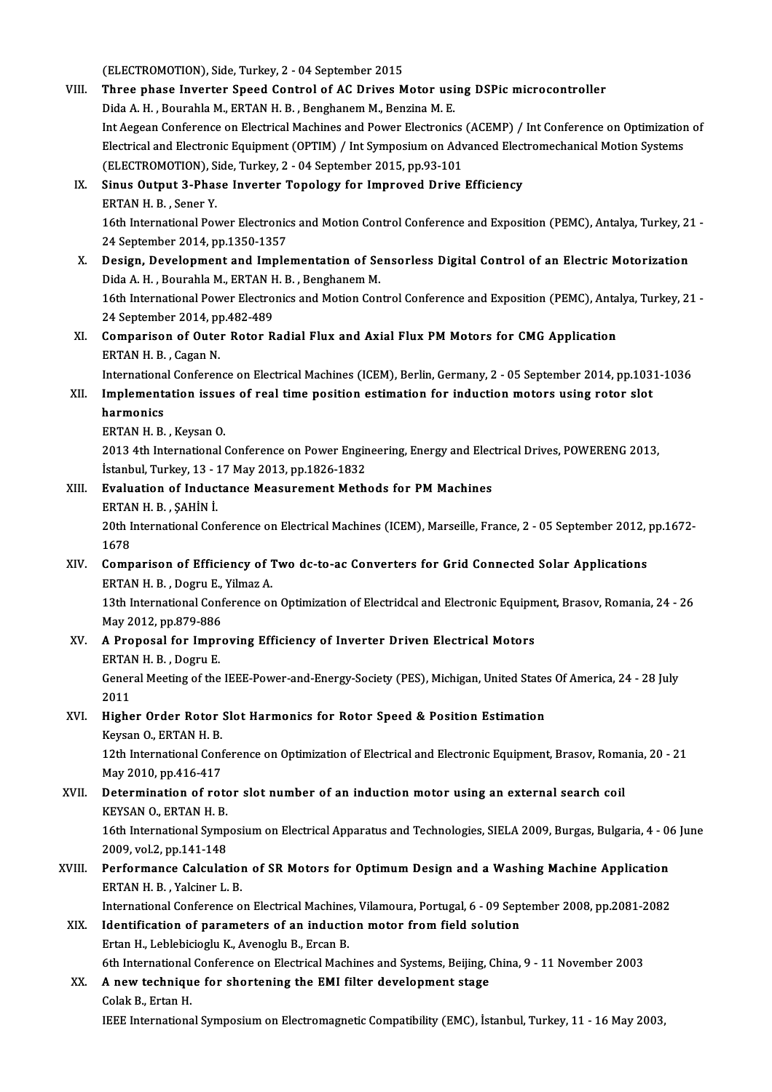(ELECTROMOTION), Side, Turkey, 2 - 04 September 2015<br>Three phase Investor Speed Central of AC Drives M

|        | (ELECTROMOTION), Side, Turkey, 2 - 04 September 2015                                                                           |
|--------|--------------------------------------------------------------------------------------------------------------------------------|
| VIII.  | Three phase Inverter Speed Control of AC Drives Motor using DSPic microcontroller                                              |
|        | Dida A. H., Bourahla M., ERTAN H. B., Benghanem M., Benzina M. E.                                                              |
|        | Int Aegean Conference on Electrical Machines and Power Electronics (ACEMP) / Int Conference on Optimization of                 |
|        | Electrical and Electronic Equipment (OPTIM) / Int Symposium on Advanced Electromechanical Motion Systems                       |
|        | (ELECTROMOTION), Side, Turkey, 2 - 04 September 2015, pp.93-101                                                                |
| IX.    | Sinus Output 3-Phase Inverter Topology for Improved Drive Efficiency                                                           |
|        | ERTAN H. B., Sener Y.                                                                                                          |
|        | 16th International Power Electronics and Motion Control Conference and Exposition (PEMC), Antalya, Turkey, 21 -                |
|        | 24 September 2014, pp 1350-1357                                                                                                |
| Х.     | Design, Development and Implementation of Sensorless Digital Control of an Electric Motorization                               |
|        | Dida A.H., Bourahla M., ERTAN H. B., Benghanem M.                                                                              |
|        | 16th International Power Electronics and Motion Control Conference and Exposition (PEMC), Antalya, Turkey, 21 -                |
|        | 24 September 2014, pp.482-489                                                                                                  |
| XI.    | Comparison of Outer Rotor Radial Flux and Axial Flux PM Motors for CMG Application                                             |
|        | ERTAN H. B., Cagan N.                                                                                                          |
|        | International Conference on Electrical Machines (ICEM), Berlin, Germany, 2 - 05 September 2014, pp.1031-1036                   |
| XII.   | Implementation issues of real time position estimation for induction motors using rotor slot                                   |
|        | harmonics                                                                                                                      |
|        | ERTAN H. B., Keysan O.                                                                                                         |
|        | 2013 4th International Conference on Power Engineering, Energy and Electrical Drives, POWERENG 2013,                           |
|        | İstanbul, Turkey, 13 - 17 May 2013, pp.1826-1832                                                                               |
| XIII.  | Evaluation of Inductance Measurement Methods for PM Machines                                                                   |
|        | ERTAN H B, ŞAHİN İ                                                                                                             |
|        | 20th International Conference on Electrical Machines (ICEM), Marseille, France, 2 - 05 September 2012, pp.1672-                |
|        | 1678                                                                                                                           |
| XIV.   | Comparison of Efficiency of Two dc-to-ac Converters for Grid Connected Solar Applications<br>ERTAN H. B., Dogru E., Yilmaz A.  |
|        | 13th International Conference on Optimization of Electridcal and Electronic Equipment, Brasov, Romania, 24 - 26                |
|        | May 2012, pp.879-886                                                                                                           |
| XV.    | A Proposal for Improving Efficiency of Inverter Driven Electrical Motors                                                       |
|        | ERTAN H. B., Dogru E.                                                                                                          |
|        | General Meeting of the IEEE-Power-and-Energy-Society (PES), Michigan, United States Of America, 24 - 28 July                   |
|        | 2011                                                                                                                           |
| XVI.   | Higher Order Rotor Slot Harmonics for Rotor Speed & Position Estimation                                                        |
|        | Keysan O., ERTAN H. B.                                                                                                         |
|        | 12th International Conference on Optimization of Electrical and Electronic Equipment, Brasov, Romania, 20 - 21                 |
|        | May 2010, pp.416-417                                                                                                           |
| XVII.  | Determination of rotor slot number of an induction motor using an external search coil                                         |
|        | KEYSAN O., ERTAN H. B.                                                                                                         |
|        | 16th International Symposium on Electrical Apparatus and Technologies, SIELA 2009, Burgas, Bulgaria, 4 - 06 June               |
|        | 2009, vol 2, pp 141-148                                                                                                        |
| XVIII. | Performance Calculation of SR Motors for Optimum Design and a Washing Machine Application                                      |
|        | ERTAN H B , Yalciner L B                                                                                                       |
|        | International Conference on Electrical Machines, Vilamoura, Portugal, 6 - 09 September 2008, pp.2081-2082                      |
| XIX.   | Identification of parameters of an induction motor from field solution                                                         |
|        | Ertan H., Leblebicioglu K., Avenoglu B., Ercan B.                                                                              |
|        | 6th International Conference on Electrical Machines and Systems, Beijing, China, 9 - 11 November 2003                          |
| XX.    | A new technique for shortening the EMI filter development stage                                                                |
|        | Colak B., Ertan H.<br>IEEE International Symposium on Electromagnetic Compatibility (EMC), İstanbul, Turkey, 11 - 16 May 2003, |
|        |                                                                                                                                |